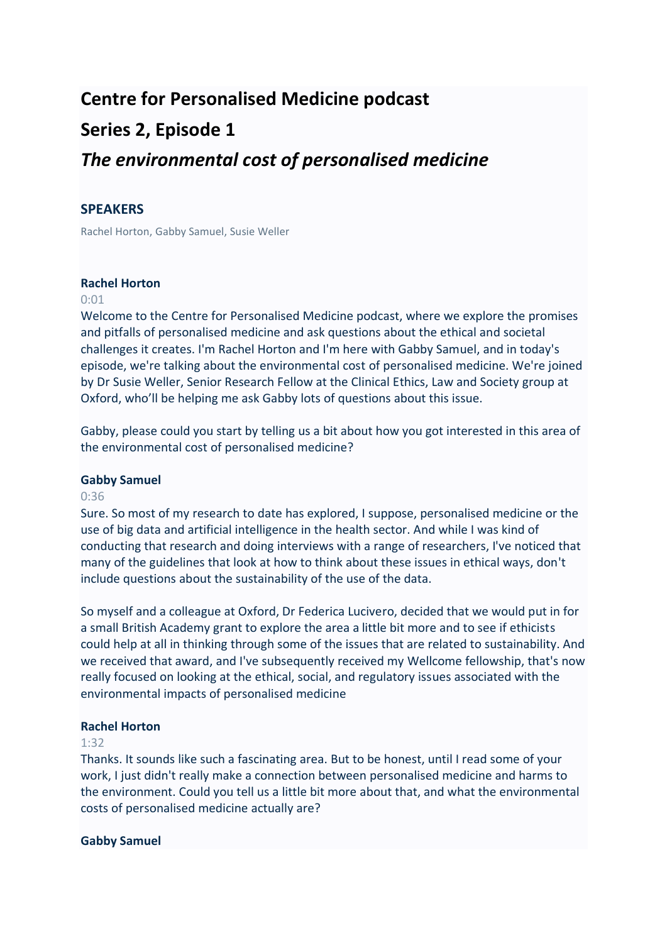# **Centre for Personalised Medicine podcast Series 2, Episode 1** *The environmental cost of personalised medicine*

# **SPEAKERS**

Rachel Horton, Gabby Samuel, Susie Weller

## **Rachel Horton**

#### 0:01

Welcome to the Centre for Personalised Medicine podcast, where we explore the promises and pitfalls of personalised medicine and ask questions about the ethical and societal challenges it creates. I'm Rachel Horton and I'm here with Gabby Samuel, and in today's episode, we're talking about the environmental cost of personalised medicine. We're joined by Dr Susie Weller, Senior Research Fellow at the Clinical Ethics, Law and Society group at Oxford, who'll be helping me ask Gabby lots of questions about this issue.

Gabby, please could you start by telling us a bit about how you got interested in this area of the environmental cost of personalised medicine?

#### **Gabby Samuel**

## 0:36

Sure. So most of my research to date has explored, I suppose, personalised medicine or the use of big data and artificial intelligence in the health sector. And while I was kind of conducting that research and doing interviews with a range of researchers, I've noticed that many of the guidelines that look at how to think about these issues in ethical ways, don't include questions about the sustainability of the use of the data.

So myself and a colleague at Oxford, Dr Federica Lucivero, decided that we would put in for a small British Academy grant to explore the area a little bit more and to see if ethicists could help at all in thinking through some of the issues that are related to sustainability. And we received that award, and I've subsequently received my Wellcome fellowship, that's now really focused on looking at the ethical, social, and regulatory issues associated with the environmental impacts of personalised medicine

#### **Rachel Horton**

#### 1:32

Thanks. It sounds like such a fascinating area. But to be honest, until I read some of your work, I just didn't really make a connection between personalised medicine and harms to the environment. Could you tell us a little bit more about that, and what the environmental costs of personalised medicine actually are?

#### **Gabby Samuel**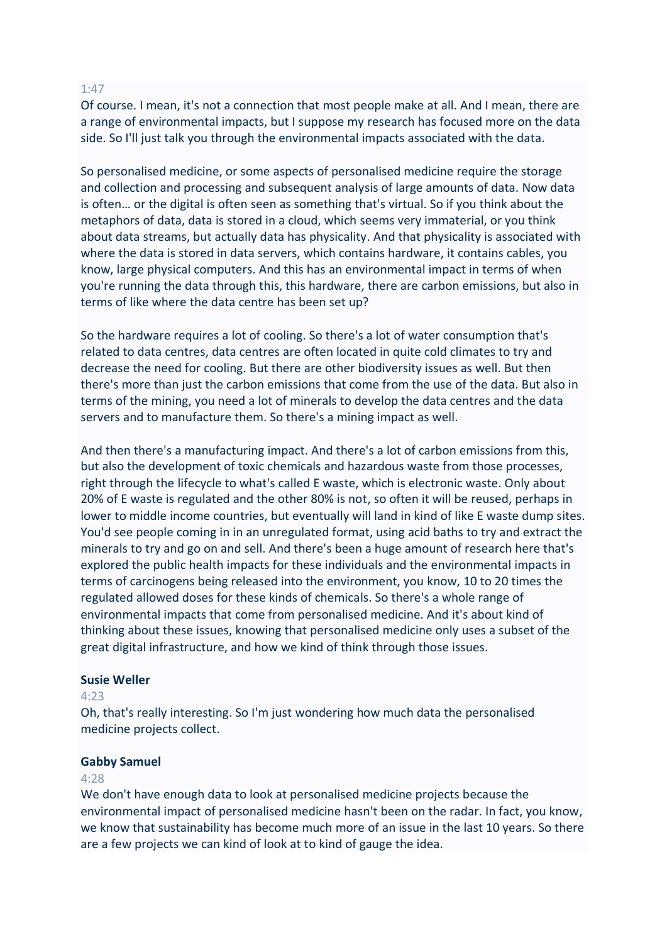#### 1:47

Of course. I mean, it's not a connection that most people make at all. And I mean, there are a range of environmental impacts, but I suppose my research has focused more on the data side. So I'll just talk you through the environmental impacts associated with the data.

So personalised medicine, or some aspects of personalised medicine require the storage and collection and processing and subsequent analysis of large amounts of data. Now data is often… or the digital is often seen as something that's virtual. So if you think about the metaphors of data, data is stored in a cloud, which seems very immaterial, or you think about data streams, but actually data has physicality. And that physicality is associated with where the data is stored in data servers, which contains hardware, it contains cables, you know, large physical computers. And this has an environmental impact in terms of when you're running the data through this, this hardware, there are carbon emissions, but also in terms of like where the data centre has been set up?

So the hardware requires a lot of cooling. So there's a lot of water consumption that's related to data centres, data centres are often located in quite cold climates to try and decrease the need for cooling. But there are other biodiversity issues as well. But then there's more than just the carbon emissions that come from the use of the data. But also in terms of the mining, you need a lot of minerals to develop the data centres and the data servers and to manufacture them. So there's a mining impact as well.

And then there's a manufacturing impact. And there's a lot of carbon emissions from this, but also the development of toxic chemicals and hazardous waste from those processes, right through the lifecycle to what's called E waste, which is electronic waste. Only about 20% of E waste is regulated and the other 80% is not, so often it will be reused, perhaps in lower to middle income countries, but eventually will land in kind of like E waste dump sites. You'd see people coming in in an unregulated format, using acid baths to try and extract the minerals to try and go on and sell. And there's been a huge amount of research here that's explored the public health impacts for these individuals and the environmental impacts in terms of carcinogens being released into the environment, you know, 10 to 20 times the regulated allowed doses for these kinds of chemicals. So there's a whole range of environmental impacts that come from personalised medicine. And it's about kind of thinking about these issues, knowing that personalised medicine only uses a subset of the great digital infrastructure, and how we kind of think through those issues.

#### **Susie Weller**

## $4.23$

Oh, that's really interesting. So I'm just wondering how much data the personalised medicine projects collect.

#### **Gabby Samuel**

## 4:28

We don't have enough data to look at personalised medicine projects because the environmental impact of personalised medicine hasn't been on the radar. In fact, you know, we know that sustainability has become much more of an issue in the last 10 years. So there are a few projects we can kind of look at to kind of gauge the idea.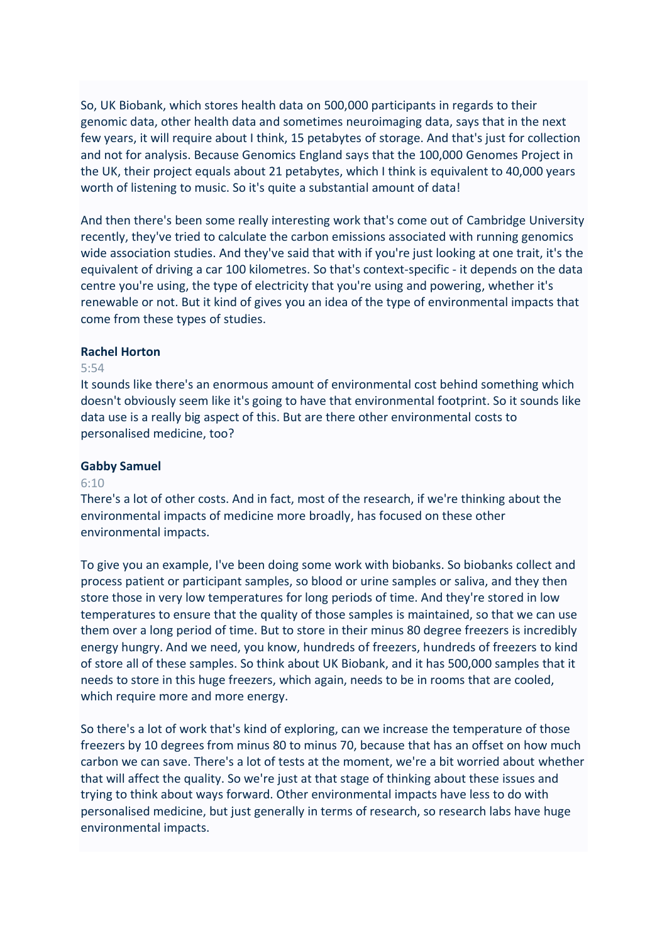So, UK Biobank, which stores health data on 500,000 participants in regards to their genomic data, other health data and sometimes neuroimaging data, says that in the next few years, it will require about I think, 15 petabytes of storage. And that's just for collection and not for analysis. Because Genomics England says that the 100,000 Genomes Project in the UK, their project equals about 21 petabytes, which I think is equivalent to 40,000 years worth of listening to music. So it's quite a substantial amount of data!

And then there's been some really interesting work that's come out of Cambridge University recently, they've tried to calculate the carbon emissions associated with running genomics wide association studies. And they've said that with if you're just looking at one trait, it's the equivalent of driving a car 100 kilometres. So that's context-specific - it depends on the data centre you're using, the type of electricity that you're using and powering, whether it's renewable or not. But it kind of gives you an idea of the type of environmental impacts that come from these types of studies.

#### **Rachel Horton**

#### 5:54

It sounds like there's an enormous amount of environmental cost behind something which doesn't obviously seem like it's going to have that environmental footprint. So it sounds like data use is a really big aspect of this. But are there other environmental costs to personalised medicine, too?

## **Gabby Samuel**

## $6:10$

There's a lot of other costs. And in fact, most of the research, if we're thinking about the environmental impacts of medicine more broadly, has focused on these other environmental impacts.

To give you an example, I've been doing some work with biobanks. So biobanks collect and process patient or participant samples, so blood or urine samples or saliva, and they then store those in very low temperatures for long periods of time. And they're stored in low temperatures to ensure that the quality of those samples is maintained, so that we can use them over a long period of time. But to store in their minus 80 degree freezers is incredibly energy hungry. And we need, you know, hundreds of freezers, hundreds of freezers to kind of store all of these samples. So think about UK Biobank, and it has 500,000 samples that it needs to store in this huge freezers, which again, needs to be in rooms that are cooled, which require more and more energy.

So there's a lot of work that's kind of exploring, can we increase the temperature of those freezers by 10 degrees from minus 80 to minus 70, because that has an offset on how much carbon we can save. There's a lot of tests at the moment, we're a bit worried about whether that will affect the quality. So we're just at that stage of thinking about these issues and trying to think about ways forward. Other environmental impacts have less to do with personalised medicine, but just generally in terms of research, so research labs have huge environmental impacts.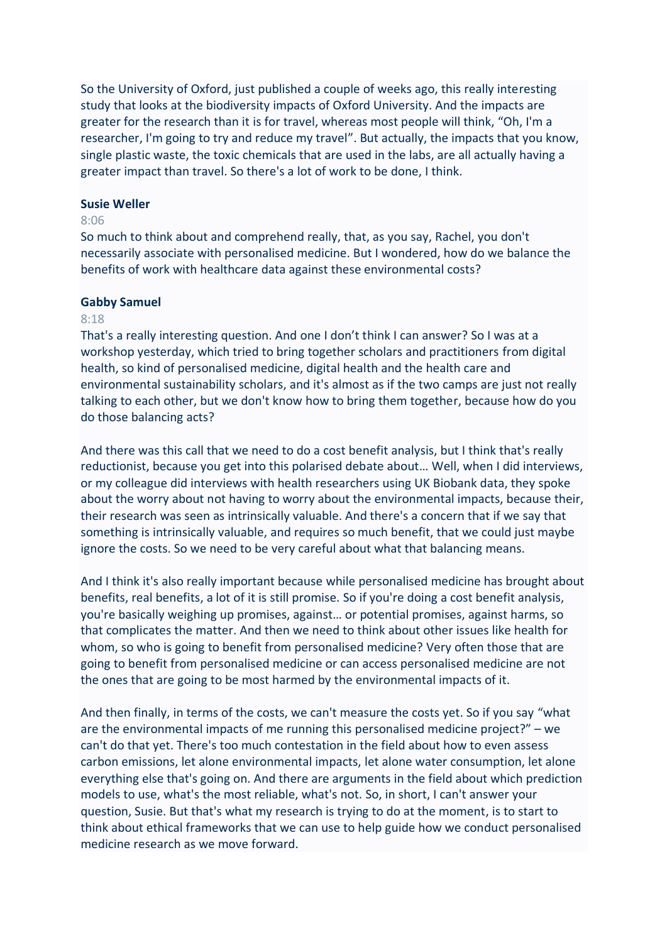So the University of Oxford, just published a couple of weeks ago, this really interesting study that looks at the biodiversity impacts of Oxford University. And the impacts are greater for the research than it is for travel, whereas most people will think, "Oh, I'm a researcher, I'm going to try and reduce my travel". But actually, the impacts that you know, single plastic waste, the toxic chemicals that are used in the labs, are all actually having a greater impact than travel. So there's a lot of work to be done, I think.

#### **Susie Weller**

#### 8:06

So much to think about and comprehend really, that, as you say, Rachel, you don't necessarily associate with personalised medicine. But I wondered, how do we balance the benefits of work with healthcare data against these environmental costs?

#### **Gabby Samuel**

#### 8:18

That's a really interesting question. And one I don't think I can answer? So I was at a workshop yesterday, which tried to bring together scholars and practitioners from digital health, so kind of personalised medicine, digital health and the health care and environmental sustainability scholars, and it's almost as if the two camps are just not really talking to each other, but we don't know how to bring them together, because how do you do those balancing acts?

And there was this call that we need to do a cost benefit analysis, but I think that's really reductionist, because you get into this polarised debate about… Well, when I did interviews, or my colleague did interviews with health researchers using UK Biobank data, they spoke about the worry about not having to worry about the environmental impacts, because their, their research was seen as intrinsically valuable. And there's a concern that if we say that something is intrinsically valuable, and requires so much benefit, that we could just maybe ignore the costs. So we need to be very careful about what that balancing means.

And I think it's also really important because while personalised medicine has brought about benefits, real benefits, a lot of it is still promise. So if you're doing a cost benefit analysis, you're basically weighing up promises, against… or potential promises, against harms, so that complicates the matter. And then we need to think about other issues like health for whom, so who is going to benefit from personalised medicine? Very often those that are going to benefit from personalised medicine or can access personalised medicine are not the ones that are going to be most harmed by the environmental impacts of it.

And then finally, in terms of the costs, we can't measure the costs yet. So if you say "what are the environmental impacts of me running this personalised medicine project?" – we can't do that yet. There's too much contestation in the field about how to even assess carbon emissions, let alone environmental impacts, let alone water consumption, let alone everything else that's going on. And there are arguments in the field about which prediction models to use, what's the most reliable, what's not. So, in short, I can't answer your question, Susie. But that's what my research is trying to do at the moment, is to start to think about ethical frameworks that we can use to help guide how we conduct personalised medicine research as we move forward.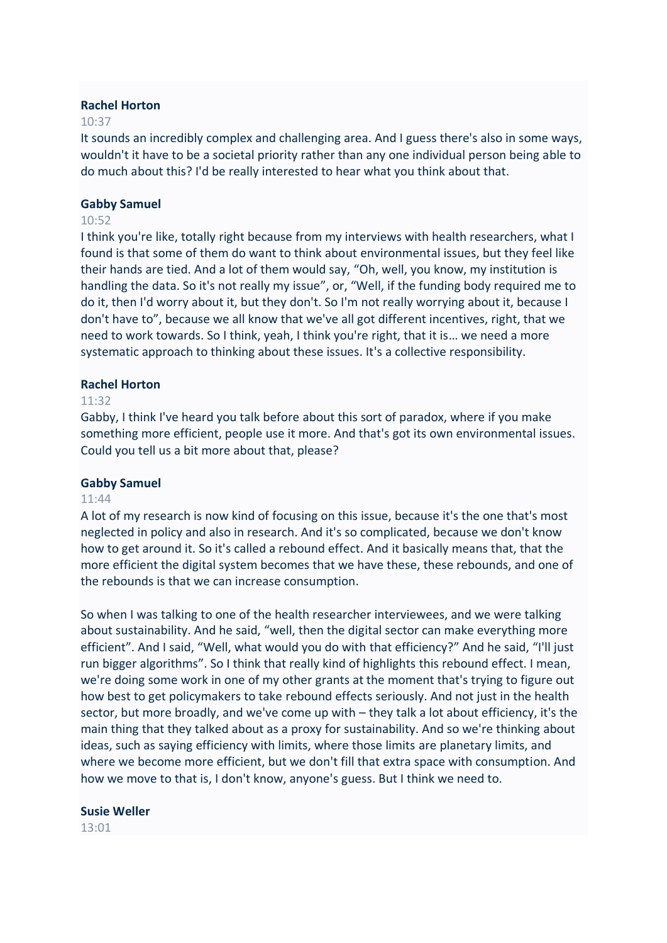## **Rachel Horton**

## $10.37$

It sounds an incredibly complex and challenging area. And I guess there's also in some ways, wouldn't it have to be a societal priority rather than any one individual person being able to do much about this? I'd be really interested to hear what you think about that.

## **Gabby Samuel**

## 10:52

I think you're like, totally right because from my interviews with health researchers, what I found is that some of them do want to think about environmental issues, but they feel like their hands are tied. And a lot of them would say, "Oh, well, you know, my institution is handling the data. So it's not really my issue", or, "Well, if the funding body required me to do it, then I'd worry about it, but they don't. So I'm not really worrying about it, because I don't have to", because we all know that we've all got different incentives, right, that we need to work towards. So I think, yeah, I think you're right, that it is… we need a more systematic approach to thinking about these issues. It's a collective responsibility.

## **Rachel Horton**

## 11:32

Gabby, I think I've heard you talk before about this sort of paradox, where if you make something more efficient, people use it more. And that's got its own environmental issues. Could you tell us a bit more about that, please?

#### **Gabby Samuel**

#### 11:44

A lot of my research is now kind of focusing on this issue, because it's the one that's most neglected in policy and also in research. And it's so complicated, because we don't know how to get around it. So it's called a rebound effect. And it basically means that, that the more efficient the digital system becomes that we have these, these rebounds, and one of the rebounds is that we can increase consumption.

So when I was talking to one of the health researcher interviewees, and we were talking about sustainability. And he said, "well, then the digital sector can make everything more efficient". And I said, "Well, what would you do with that efficiency?" And he said, "I'll just run bigger algorithms". So I think that really kind of highlights this rebound effect. I mean, we're doing some work in one of my other grants at the moment that's trying to figure out how best to get policymakers to take rebound effects seriously. And not just in the health sector, but more broadly, and we've come up with – they talk a lot about efficiency, it's the main thing that they talked about as a proxy for sustainability. And so we're thinking about ideas, such as saying efficiency with limits, where those limits are planetary limits, and where we become more efficient, but we don't fill that extra space with consumption. And how we move to that is, I don't know, anyone's guess. But I think we need to.

#### **Susie Weller**

 $13:01$